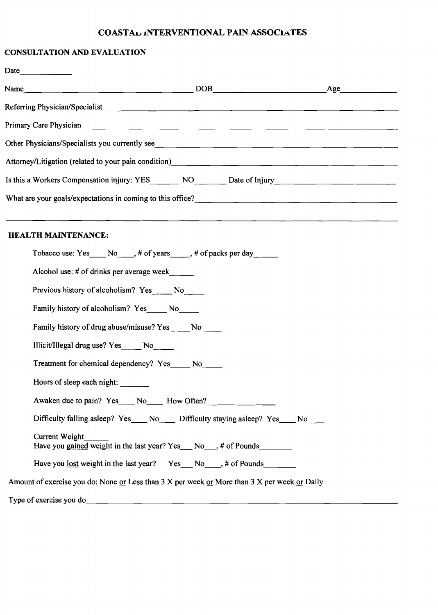### **COASTA<sub>D</sub>** INTERVENTIONAL PAIN ASSOCIATES

#### **CONSULTATION AND EVALUATION**

|                                                         | Name $\_\_\_\_\_\_\_\_\_\_$                                                                                                                                                                                                            |  |
|---------------------------------------------------------|----------------------------------------------------------------------------------------------------------------------------------------------------------------------------------------------------------------------------------------|--|
|                                                         |                                                                                                                                                                                                                                        |  |
|                                                         |                                                                                                                                                                                                                                        |  |
|                                                         | Other Physicians/Specialists you currently see                                                                                                                                                                                         |  |
|                                                         | Attorney/Litigation (related to your pain condition)<br><u> and the contract of the contract of the contract of the contract of the contract of the contract of the contract of the contract of the contract of the contract of th</u> |  |
|                                                         | Is this a Workers Compensation injury: YES_______ NO_______ Date of Injury__________________________                                                                                                                                   |  |
|                                                         |                                                                                                                                                                                                                                        |  |
| <b>HEALTH MAINTENANCE:</b>                              |                                                                                                                                                                                                                                        |  |
|                                                         | Tobacco use: Yes _____ No _____, # of years _____, # of packs per day ______                                                                                                                                                           |  |
| Alcohol use: # of drinks per average week               |                                                                                                                                                                                                                                        |  |
| Previous history of alcoholism? Yes ______ No______     |                                                                                                                                                                                                                                        |  |
| Family history of alcoholism? Yes No No                 |                                                                                                                                                                                                                                        |  |
| Family history of drug abuse/misuse? Yes ______ No_____ |                                                                                                                                                                                                                                        |  |
| Illicit/Illegal drug use? Yes No                        |                                                                                                                                                                                                                                        |  |
| Treatment for chemical dependency? Yes No               |                                                                                                                                                                                                                                        |  |
| Hours of sleep each night:                              |                                                                                                                                                                                                                                        |  |
|                                                         | Awaken due to pain? Yes No How Often?                                                                                                                                                                                                  |  |
|                                                         | Difficulty falling asleep? Yes____ No____ Difficulty staying asleep? Yes____ No___                                                                                                                                                     |  |
| <b>Current Weight</b>                                   | Have you gained weight in the last year? Yes No , # of Pounds                                                                                                                                                                          |  |
|                                                         | Have you <u>lost</u> weight in the last year? Yes___ No____, # of Pounds______________                                                                                                                                                 |  |

Amount of exercise you do: None or Less than 3 X per week or More than 3 X per week or Daily

Type of exercise you do \_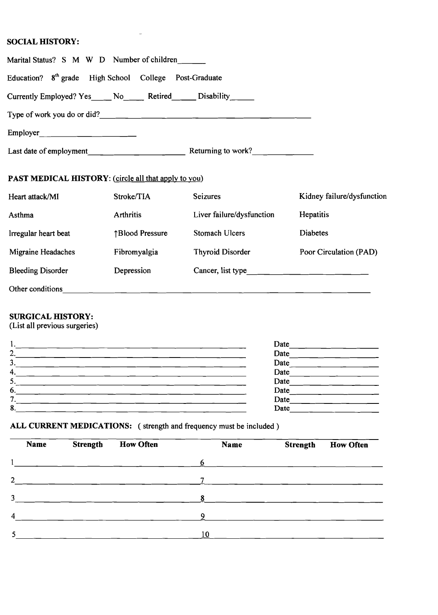## **SOCIAL HISTORY:**

| Marital Status? S M W D Number of children                           |                 |                           |                            |
|----------------------------------------------------------------------|-----------------|---------------------------|----------------------------|
| Education? 8 <sup>th</sup> grade High School College Post-Graduate   |                 |                           |                            |
| Currently Employed? Yes ____ No _____ Retired _____ Disability _____ |                 |                           |                            |
|                                                                      |                 |                           |                            |
|                                                                      |                 |                           |                            |
|                                                                      |                 |                           |                            |
| PAST MEDICAL HISTORY: (circle all that apply to you)                 |                 |                           |                            |
| Heart attack/MI                                                      | Stroke/TIA      | <b>Seizures</b>           | Kidney failure/dysfunction |
| Asthma                                                               | Arthritis       | Liver failure/dysfunction | Hepatitis                  |
| Irregular heart beat                                                 | ↑Blood Pressure | Stomach Ulcers            | <b>Diabetes</b>            |
| Migraine Headaches                                                   | Fibromyalgia    | <b>Thyroid Disorder</b>   | Poor Circulation (PAD)     |
| <b>Bleeding Disorder</b>                                             | Depression      | Cancer, list type         |                            |
|                                                                      |                 |                           |                            |

### **SURGICAL HISTORY:**

(List all previous surgeries)

| ι.     | Date |
|--------|------|
| ົ<br>∼ | Date |
| 3.     | Date |
| 4      | Date |
| ر      | Date |
| O.     | Date |
|        | Date |
| 8      | Date |
|        |      |

# ALL CURRENT MEDICATIONS: (strength and frequency must be included)

 $\bar{\psi}$ 

| Name | <b>Strength</b>                                                                                                 | <b>How Often</b> | Name                     | <b>Strength</b> | <b>How Often</b> |
|------|-----------------------------------------------------------------------------------------------------------------|------------------|--------------------------|-----------------|------------------|
|      | the contract of the contract of the contract of the contract of the contract of the contract of the contract of |                  | $\overline{\phantom{a}}$ |                 |                  |
|      |                                                                                                                 |                  |                          |                 |                  |
|      |                                                                                                                 |                  |                          |                 |                  |
|      |                                                                                                                 |                  | Q                        |                 |                  |
|      |                                                                                                                 |                  | 10                       |                 |                  |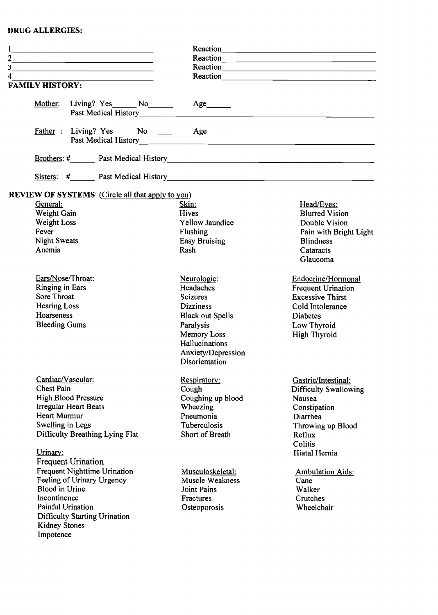#### **DRUG ALLERGIES:**

 $\label{eq:2.1} \frac{1}{\sqrt{2}}\int_{0}^{\pi} \frac{1}{\sqrt{2}}\left(\frac{1}{\sqrt{2}}\right)^{2} \left(\frac{1}{\sqrt{2}}\right)^{2} \left(\frac{1}{\sqrt{2}}\right)^{2} \left(\frac{1}{\sqrt{2}}\right)^{2} \left(\frac{1}{\sqrt{2}}\right)^{2} \left(\frac{1}{\sqrt{2}}\right)^{2} \left(\frac{1}{\sqrt{2}}\right)^{2} \left(\frac{1}{\sqrt{2}}\right)^{2} \left(\frac{1}{\sqrt{2}}\right)^{2} \left(\frac{1}{\sqrt{2}}\right)^{2} \left$ 

|                                                                     |                         | Reaction                     |
|---------------------------------------------------------------------|-------------------------|------------------------------|
| <u> 1989 - Johann John Stein, mars an de British (b. 1989)</u>      |                         |                              |
| <u> 1989 - Johann Stein, mars an deus Amerikaansk kommunister (</u> |                         | Reaction                     |
| 4<br>the control of the control of the control of the control of    |                         | Reaction                     |
| <b>FAMILY HISTORY:</b>                                              |                         |                              |
| Mother: Living? Yes________ No________                              | Age                     |                              |
|                                                                     |                         |                              |
|                                                                     |                         |                              |
|                                                                     |                         |                              |
| <b>REVIEW OF SYSTEMS:</b> (Circle all that apply to you)            |                         |                              |
| General:                                                            | Skin:                   | Head/Eyes:                   |
| Weight Gain                                                         | Hives                   | <b>Blurred Vision</b>        |
| Weight Loss                                                         | Yellow Jaundice         | Double Vision                |
| Fever                                                               | Flushing                | Pain with Bright Light       |
| <b>Night Sweats</b>                                                 | <b>Easy Bruising</b>    | <b>Blindness</b>             |
| Anemia                                                              | Rash                    | Cataracts                    |
|                                                                     |                         | Glaucoma                     |
| Ears/Nose/Throat:                                                   | Neurologic:             | Endocrine/Hormonal           |
| <b>Ringing in Ears</b>                                              | Headaches               | <b>Frequent Urination</b>    |
| Sore Throat                                                         | <b>Seizures</b>         | <b>Excessive Thirst</b>      |
| <b>Hearing Loss</b>                                                 | <b>Dizziness</b>        | Cold Intolerance             |
| Hoarseness                                                          | <b>Black out Spells</b> | <b>Diabetes</b>              |
| <b>Bleeding Gums</b>                                                | Paralysis               | Low Thyroid                  |
|                                                                     | Memory Loss             | <b>High Thyroid</b>          |
|                                                                     | Hallucinations          |                              |
|                                                                     | Anxiety/Depression      |                              |
|                                                                     | Disorientation          |                              |
| Cardiac/Vascular:                                                   | Respiratory:            | Gastric/Intestinal:          |
| <b>Chest Pain</b>                                                   | Cough                   | <b>Difficulty Swallowing</b> |
| <b>High Blood Pressure</b>                                          | Coughing up blood       | Nausea                       |
| <b>Irregular Heart Beats</b>                                        | Wheezing                | Constipation                 |
| <b>Heart Murmur</b>                                                 | Pneumonia               | Diarrhea                     |
| Swelling in Legs                                                    | Tuberculosis            | Throwing up Blood            |
| Difficulty Breathing Lying Flat                                     | Short of Breath         | Reflux                       |
|                                                                     |                         | Colitis                      |
| Urinary:                                                            |                         | Hiatal Hernia                |
| <b>Frequent Urination</b>                                           |                         |                              |
| <b>Frequent Nighttime Urination</b>                                 | Musculoskeletal:        | <b>Ambulation Aids:</b>      |
| Feeling of Urinary Urgency                                          | Muscle Weakness         | Cane                         |
| <b>Blood</b> in Urine                                               | <b>Joint Pains</b>      | Walker                       |
| Incontinence                                                        | Fractures               | Crutches                     |
| Painful Urination                                                   | Osteoporosis            | Wheelchair                   |
| <b>Difficulty Starting Urination</b>                                |                         |                              |
| <b>Kidney Stones</b>                                                |                         |                              |
| Impotence                                                           |                         |                              |
|                                                                     |                         |                              |